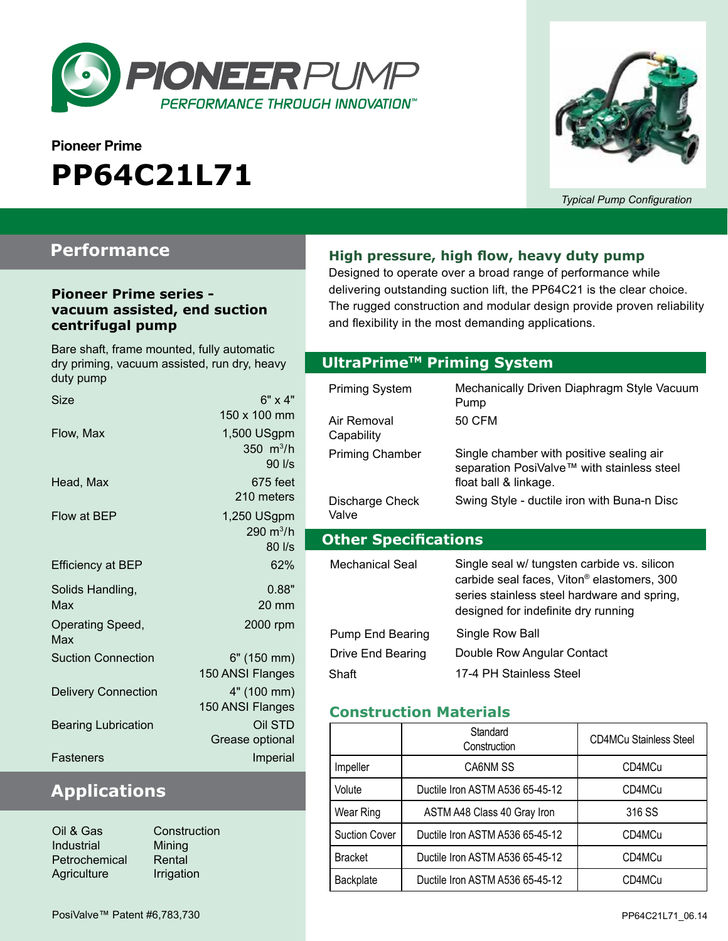

# **Pioneer Prime PP64C21L71**



*Typical Pump Configuration*

### **Performance**

#### **Pioneer Prime series vacuum assisted, end suction centrifugal pump**

Bare shaft, frame mounted, fully automatic dry priming, vacuum assisted, run dry, heavy duty pump

| Size                       | $6" \times 4"$                             |
|----------------------------|--------------------------------------------|
| Flow, Max                  | 150 x 100 mm<br>1,500 USgpm<br>350 $m^3/h$ |
| Head, Max                  | 90 l/s<br>675 feet<br>210 meters           |
| Flow at BEP                | 1,250 USgpm<br>290 $m^3/h$<br>80 l/s       |
| <b>Efficiency at BEP</b>   | 62%                                        |
| Solids Handling,<br>Max    | 0.88"<br>$20 \text{ mm}$                   |
| Operating Speed,<br>Max    | 2000 rpm                                   |
| <b>Suction Connection</b>  | 6" (150 mm)<br>150 ANSI Flanges            |
| <b>Delivery Connection</b> | 4" (100 mm)<br>150 ANSI Flanges            |
| <b>Bearing Lubrication</b> | Oil STD<br>Grease optional                 |
| Fasteners                  | Imperial                                   |

### **Applications**

| Oil & Gas     | C  |
|---------------|----|
| Industrial    | M  |
| Petrochemical | R  |
| Agriculture   | Ir |

onstruction lining ental rigation

#### **High pressure, high flow, heavy duty pump**

Designed to operate over a broad range of performance while delivering outstanding suction lift, the PP64C21 is the clear choice. The rugged construction and modular design provide proven reliability and flexibility in the most demanding applications.

#### **Optional Priming System UltraPrimeTM Priming System**

| Mechanically Driven Diaphragm Style Vacuum<br>Pump<br>50 CFM                                                                                                                                |  |  |
|---------------------------------------------------------------------------------------------------------------------------------------------------------------------------------------------|--|--|
| Single chamber with positive sealing air<br>separation PosiValve™ with stainless steel<br>float ball & linkage.                                                                             |  |  |
| Swing Style - ductile iron with Buna-n Disc                                                                                                                                                 |  |  |
| <b>Other Specifications</b>                                                                                                                                                                 |  |  |
|                                                                                                                                                                                             |  |  |
| Single seal w/ tungsten carbide vs. silicon<br>carbide seal faces, Viton <sup>®</sup> elastomers, 300<br>series stainless steel hardware and spring,<br>designed for indefinite dry running |  |  |
| Single Row Ball                                                                                                                                                                             |  |  |
| Double Row Angular Contact                                                                                                                                                                  |  |  |
|                                                                                                                                                                                             |  |  |

#### **Construction Materials**

|                      | Standard<br>Construction        | <b>CD4MCu Stainless Steel</b> |
|----------------------|---------------------------------|-------------------------------|
| Impeller             | CA6NM SS                        | CD4MCu                        |
| Volute               | Ductile Iron ASTM A536 65-45-12 | CD4MCu                        |
| Wear Ring            | ASTM A48 Class 40 Gray Iron     | 316 SS                        |
| <b>Suction Cover</b> | Ductile Iron ASTM A536 65-45-12 | CD4MCu                        |
| <b>Bracket</b>       | Ductile Iron ASTM A536 65-45-12 | CD4MCu                        |
| Backplate            | Ductile Iron ASTM A536 65-45-12 | CD4MCu                        |